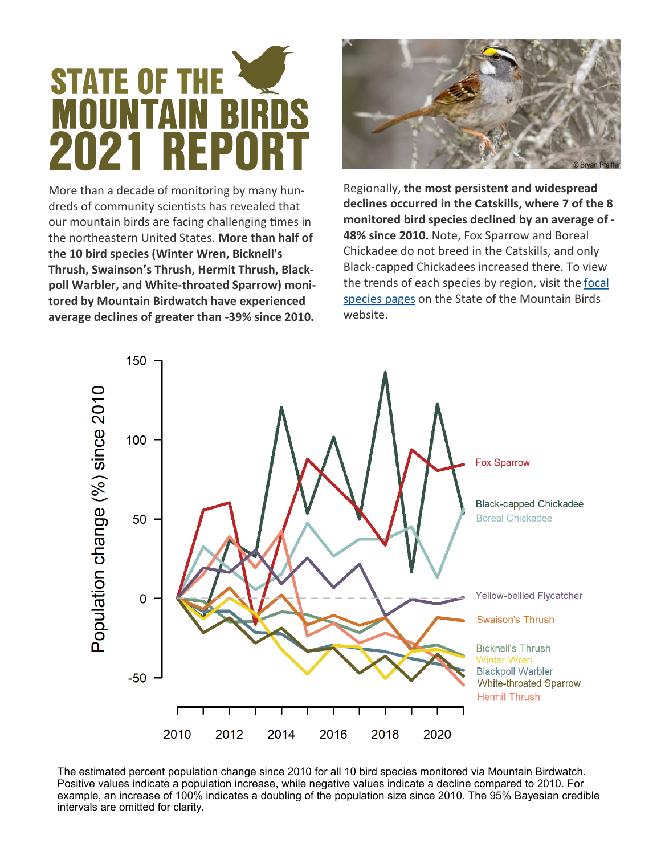## **STATE OF THE** MOUNTAIN **2021 REP**

More than a decade of monitoring by many hundreds of community scientists has revealed that our mountain birds are facing challenging times in the northeastern United States. **More than half of the 10 bird species (Winter Wren, Bicknell's Thrush, Swainson's Thrush, Hermit Thrush, Blackpoll Warbler, and White-throated Sparrow) monitored by Mountain Birdwatch have experienced average declines of greater than -39% since 2010.** 



Regionally, **the most persistent and widespread declines occurred in the Catskills, where 7 of the 8 monitored bird species declined by an average of - 48% since 2010.** Note, Fox Sparrow and Boreal Chickadee do not breed in the Catskills, and only Black-capped Chickadees increased there. To view the trends of each species by region, visit the [focal](https://mountainbirds.vtecostudies.org/birds/)  [species pages](https://mountainbirds.vtecostudies.org/birds/) on the State of the Mountain Birds website.



The estimated percent population change since 2010 for all 10 bird species monitored via Mountain Birdwatch. Positive values indicate a population increase, while negative values indicate a decline compared to 2010. For example, an increase of 100% indicates a doubling of the population size since 2010. The 95% Bayesian credible intervals are omitted for clarity.